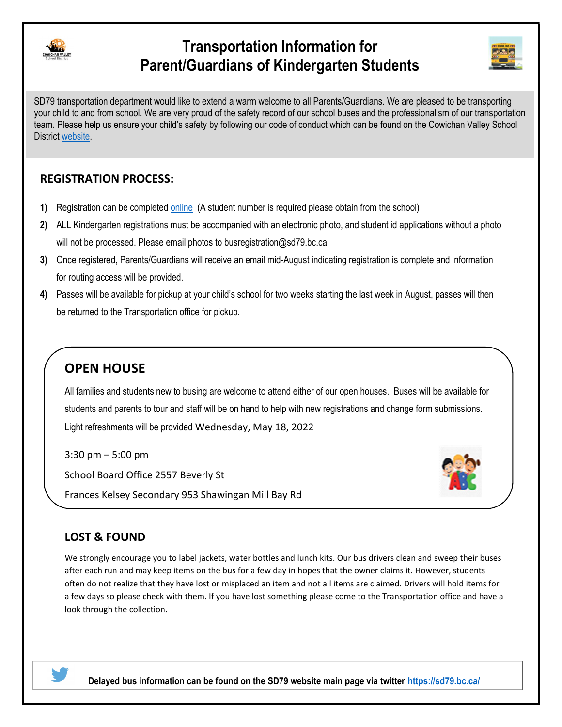

## Transportation Information for Parent/Guardians of Kindergarten Students



SD79 transportation department would like to extend a warm welcome to all Parents/Guardians. We are pleased to be transporting your child to and from school. We are very proud of the safety record of our school buses and the professionalism of our transportation team. Please help us ensure your child's safety by following our code of conduct which can be found on the Cowichan Valley School District website.

#### REGISTRATION PROCESS:

- 1) Registration can be completed online (A student number is required please obtain from the school)
- 2) ALL Kindergarten registrations must be accompanied with an electronic photo, and student id applications without a photo will not be processed. Please email photos to busregistration@sd79.bc.ca
- 3) Once registered, Parents/Guardians will receive an email mid-August indicating registration is complete and information for routing access will be provided.
- 4) Passes will be available for pickup at your child's school for two weeks starting the last week in August, passes will then be returned to the Transportation office for pickup.

## OPEN HOUSE

All families and students new to busing are welcome to attend either of our open houses. Buses will be available for students and parents to tour and staff will be on hand to help with new registrations and change form submissions. Light refreshments will be provided Wednesday, May 18, 2022

3:30 pm – 5:00 pm School Board Office 2557 Beverly St

Frances Kelsey Secondary 953 Shawingan Mill Bay Rd



### LOST & FOUND

We strongly encourage you to label jackets, water bottles and lunch kits. Our bus drivers clean and sweep their buses after each run and may keep items on the bus for a few day in hopes that the owner claims it. However, students often do not realize that they have lost or misplaced an item and not all items are claimed. Drivers will hold items for a few days so please check with them. If you have lost something please come to the Transportation office and have a look through the collection.



Delayed bus information can be found on the SD79 website main page via twitter https://sd79.bc.ca/